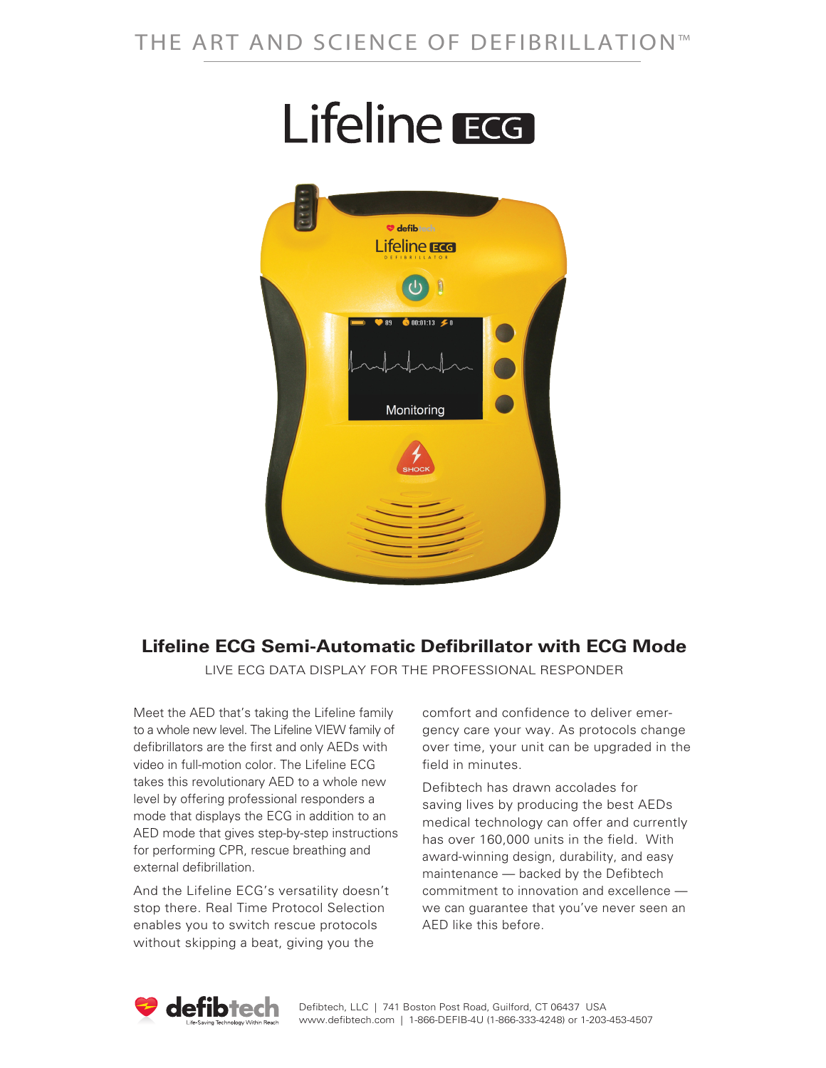# **Lifeline** ECG



## **Lifeline ECG Semi-Automatic Defibrillator with ECG Mode**

LIVE ECG DATA DISPLAY FOR THE PROFESSIONAL RESPONDER

Meet the AED that's taking the Lifeline family to a whole new level. The Lifeline VIEW family of defibrillators are the first and only AEDs with video in full-motion color. The Lifeline ECG takes this revolutionary AED to a whole new level by offering professional responders a mode that displays the ECG in addition to an AED mode that gives step-by-step instructions for performing CPR, rescue breathing and external defibrillation.

And the Lifeline ECG's versatility doesn't stop there. Real Time Protocol Selection enables you to switch rescue protocols without skipping a beat, giving you the

comfort and confidence to deliver emergency care your way. As protocols change over time, your unit can be upgraded in the field in minutes.

Defibtech has drawn accolades for saving lives by producing the best AEDs medical technology can offer and currently has over 160,000 units in the field. With award-winning design, durability, and easy maintenance — backed by the Defibtech commitment to innovation and excellence we can guarantee that you've never seen an AED like this before.